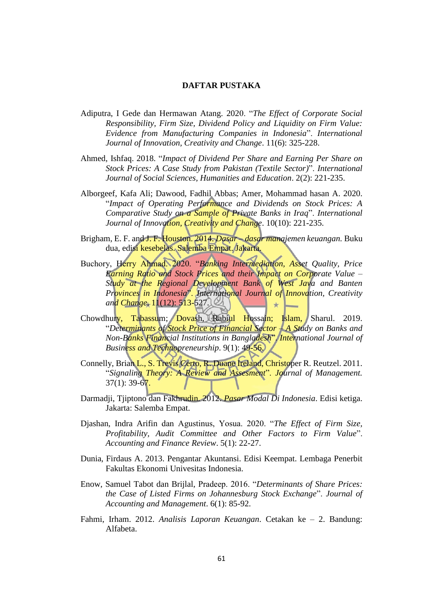## **DAFTAR PUSTAKA**

- Adiputra, I Gede dan Hermawan Atang. 2020. "*The Effect of Corporate Social Responsibility, Firm Size, Dividend Policy and Liquidity on Firm Value: Evidence from Manufacturing Companies in Indonesia*". *International Journal of Innovation, Creativity and Change*. 11(6): 325-228.
- Ahmed, Ishfaq. 2018. "*Impact of Dividend Per Share and Earning Per Share on Stock Prices: A Case Study from Pakistan (Textile Sector)*". *International Journal of Social Sciences, Humanities and Education*. 2(2): 221-235.
- Alborgeef, Kafa Ali; Dawood, Fadhil Abbas; Amer, Mohammad hasan A. 2020. "*Impact of Operating Performance and Dividends on Stock Prices: A Comparative Study on a Sample of Private Banks in Iraq*". *International Journal of Innovation, Creativity and Change*. 10(10): 221-235.
- Brigham, E. F. and J. F. Houston. 2014. *Dasar dasar manajemen keuangan.* Buku dua, edisi kesebelas. Salemba Empat. Jakarta.
- Buchory, Herry Ahmad. 2020. "*Banking Intermediation, Asset Quality, Price Earning Ratio and Stock Prices and their Impact on Corporate Value – Study at the Regional Development Bank of West Java and Banten Provinces in Indonesia*". *International Journal of Innovation, Creativity and Change*. 11(12): 513-527.  $+$
- Chowdhury, Tabassum; Dovash, Rabiul Hossain; Islam, Sharul. 2019. "*Determinants of Stock Price of Financial Sector – A Study on Banks and Non-Banks Financial Institutions in Bangladesh*". *International Journal of Business and Technopreneurship*. 9(1): 49-56.
- Connelly, Brian L., S. Trevis Certo, R. Duane Ireland, Christoper R. Reutzel. 2011. "*Signaling Theory: A Review and Assesment*". *Journal of Management.*   $37(1): 39-67.$
- Darmadji, Tjiptono dan Fakhrudin. 2012. *Pasar Modal Di Indonesia*. Edisi ketiga. Jakarta: Salemba Empat.
- Djashan, Indra Arifin dan Agustinus, Yosua. 2020. "*The Effect of Firm Size, Profitability, Audit Committee and Other Factors to Firm Value*". *Accounting and Finance Review*. 5(1): 22-27.
- Dunia, Firdaus A. 2013. Pengantar Akuntansi. Edisi Keempat. Lembaga Penerbit Fakultas Ekonomi Univesitas Indonesia.
- Enow, Samuel Tabot dan Brijlal, Pradeep. 2016. "*Determinants of Share Prices: the Case of Listed Firms on Johannesburg Stock Exchange*". *Journal of Accounting and Management*. 6(1): 85-92.
- Fahmi, Irham. 2012. *Analisis Laporan Keuangan*. Cetakan ke 2. Bandung: Alfabeta.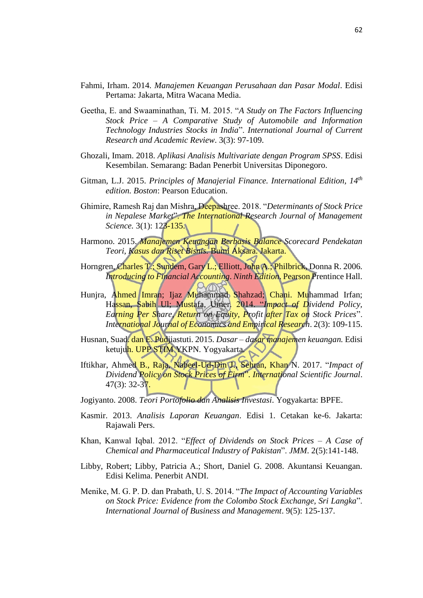- Fahmi, Irham. 2014. *Manajemen Keuangan Perusahaan dan Pasar Modal*. Edisi Pertama: Jakarta, Mitra Wacana Media.
- Geetha, E. and Swaaminathan, Ti. M. 2015. "*A Study on The Factors Influencing Stock Price – A Comparative Study of Automobile and Information Technology Industries Stocks in India*". *International Journal of Current Research and Academic Review*. 3(3): 97-109.
- Ghozali, Imam. 2018. *Aplikasi Analisis Multivariate dengan Program SPSS*. Edisi Kesembilan. Semarang: Badan Penerbit Universitas Diponegoro.
- Gitman, L.J. 2015. *Principles of Manajerial Finance. International Edition, 14th edition. Boston*: Pearson Education.
- Ghimire, Ramesh Raj dan Mishra, Deepashree. 2018. "*Determinants of Stock Price in Nepalese Market*". *The International Research Journal of Management Science.* 3(1): 123-135.
- Harmono. 2015. *Manajemen Keuangan Berbasis Balance Scorecard Pendekatan Teori, Kasus dan Riset Bisnis.* Bumi Aksara. Jakarta.
- Horngren, Charles T.; Sundem, Gary L.; Elliott, John A.; Philbrick, Donna R. 2006. *Introducing to Financial Accounting*. *Ninth Edition*. Pearson Prentince Hall.
- Hunjra, Ahmed Imran; Ijaz Muhammad Shahzad; Chani. Muhammad Irfan; Hassan, Sabih Ul; Mustafa, Umer. 2014. "*Impact of Dividend Policy, Earning Per Share, Return on Equity, Profit after Tax on Stock Prices*". *International Journal of Economics and Empirical Research*. 2(3): 109-115.
- Husnan, Suad. dan E. Pudjiastuti. 2015. *Dasar dasar manajemen keuangan.* Edisi ketujuh. UPP STIM YKPN. Yogyakarta.
- Iftikhar, Ahmed B., Raja, Nabeel-Ud-Din J., Sehran, Khan N. 2017. "*Impact of Dividend Policy on Stock Prices of Firm*". *International Scientific Journal*.  $47(3): 32-37.$
- Jogiyanto. 2008. *Teori Portofolio dan Analisis Investasi*. Yogyakarta: BPFE.
- Kasmir. 2013. *Analisis Laporan Keuangan*. Edisi 1. Cetakan ke-6. Jakarta: Rajawali Pers.
- Khan, Kanwal Iqbal. 2012. "*Effect of Dividends on Stock Prices A Case of Chemical and Pharmaceutical Industry of Pakistan*". *JMM*. 2(5):141-148.
- Libby, Robert; Libby, Patricia A.; Short, Daniel G. 2008. Akuntansi Keuangan. Edisi Kelima. Penerbit ANDI.
- Menike, M. G. P. D. dan Prabath, U. S. 2014. "*The Impact of Accounting Variables on Stock Price: Evidence from the Colombo Stock Exchange, Sri Langka*". *International Journal of Business and Management*. 9(5): 125-137.